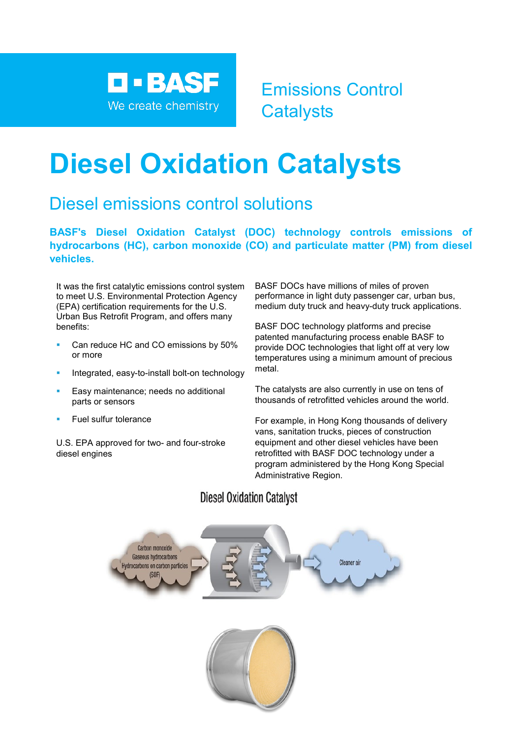

Emissions Control **Catalysts** 

# **Diesel Oxidation Catalysts**

# Diesel emissions control solutions

**BASF's Diesel Oxidation Catalyst (DOC) technology controls emissions of hydrocarbons (HC), carbon monoxide (CO) and particulate matter (PM) from diesel vehicles.**

It was the first catalytic emissions control system to meet U.S. Environmental Protection Agency (EPA) certification requirements for the U.S. Urban Bus Retrofit Program, and offers many benefits:

- Can reduce HC and CO emissions by 50% or more
- Integrated, easy-to-install bolt-on technology
- Easy maintenance; needs no additional parts or sensors
- Fuel sulfur tolerance

U.S. EPA approved for two- and four-stroke diesel engines

BASF DOCs have millions of miles of proven performance in light duty passenger car, urban bus, medium duty truck and heavy-duty truck applications.

BASF DOC technology platforms and precise patented manufacturing process enable BASF to provide DOC technologies that light off at very low temperatures using a minimum amount of precious metal.

The catalysts are also currently in use on tens of thousands of retrofitted vehicles around the world.

For example, in Hong Kong thousands of delivery vans, sanitation trucks, pieces of construction equipment and other diesel vehicles have been retrofitted with BASF DOC technology under a program administered by the Hong Kong Special Administrative Region.

# **Diesel Oxidation Catalyst**